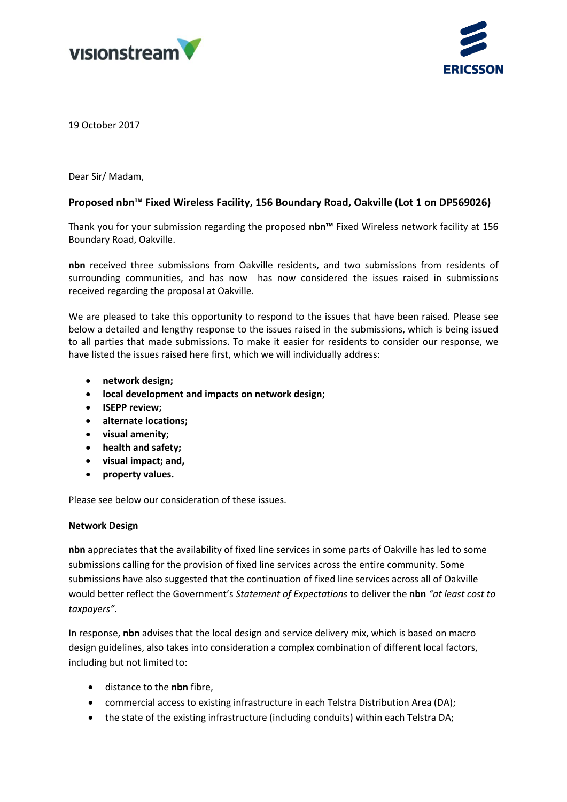



19 October 2017

Dear Sir/ Madam,

# **Proposed nbn™ Fixed Wireless Facility, 156 Boundary Road, Oakville (Lot 1 on DP569026)**

Thank you for your submission regarding the proposed **nbn™** Fixed Wireless network facility at 156 Boundary Road, Oakville.

**nbn** received three submissions from Oakville residents, and two submissions from residents of surrounding communities, and has now has now considered the issues raised in submissions received regarding the proposal at Oakville.

We are pleased to take this opportunity to respond to the issues that have been raised. Please see below a detailed and lengthy response to the issues raised in the submissions, which is being issued to all parties that made submissions. To make it easier for residents to consider our response, we have listed the issues raised here first, which we will individually address:

- **network design;**
- **local development and impacts on network design;**
- **ISEPP review;**
- **alternate locations;**
- **visual amenity;**
- **health and safety;**
- **visual impact; and,**
- **property values.**

Please see below our consideration of these issues.

# **Network Design**

**nbn** appreciates that the availability of fixed line services in some parts of Oakville has led to some submissions calling for the provision of fixed line services across the entire community. Some submissions have also suggested that the continuation of fixed line services across all of Oakville would better reflect the Government's *Statement of Expectations* to deliver the **nbn** *"at least cost to taxpayers"*.

In response, **nbn** advises that the local design and service delivery mix, which is based on macro design guidelines, also takes into consideration a complex combination of different local factors, including but not limited to:

- distance to the **nbn** fibre,
- commercial access to existing infrastructure in each Telstra Distribution Area (DA);
- the state of the existing infrastructure (including conduits) within each Telstra DA;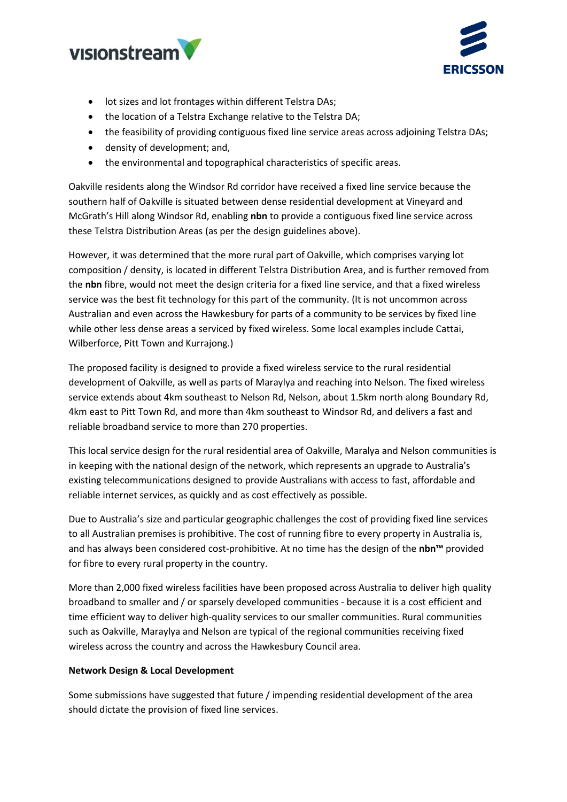



- lot sizes and lot frontages within different Telstra DAs;
- the location of a Telstra Exchange relative to the Telstra DA;
- the feasibility of providing contiguous fixed line service areas across adjoining Telstra DAs;
- density of development; and,
- the environmental and topographical characteristics of specific areas.

Oakville residents along the Windsor Rd corridor have received a fixed line service because the southern half of Oakville is situated between dense residential development at Vineyard and McGrath's Hill along Windsor Rd, enabling **nbn** to provide a contiguous fixed line service across these Telstra Distribution Areas (as per the design guidelines above).

However, it was determined that the more rural part of Oakville, which comprises varying lot composition / density, is located in different Telstra Distribution Area, and is further removed from the **nbn** fibre, would not meet the design criteria for a fixed line service, and that a fixed wireless service was the best fit technology for this part of the community. (It is not uncommon across Australian and even across the Hawkesbury for parts of a community to be services by fixed line while other less dense areas a serviced by fixed wireless. Some local examples include Cattai, Wilberforce, Pitt Town and Kurrajong.)

The proposed facility is designed to provide a fixed wireless service to the rural residential development of Oakville, as well as parts of Maraylya and reaching into Nelson. The fixed wireless service extends about 4km southeast to Nelson Rd, Nelson, about 1.5km north along Boundary Rd, 4km east to Pitt Town Rd, and more than 4km southeast to Windsor Rd, and delivers a fast and reliable broadband service to more than 270 properties.

This local service design for the rural residential area of Oakville, Maralya and Nelson communities is in keeping with the national design of the network, which represents an upgrade to Australia's existing telecommunications designed to provide Australians with access to fast, affordable and reliable internet services, as quickly and as cost effectively as possible.

Due to Australia's size and particular geographic challenges the cost of providing fixed line services to all Australian premises is prohibitive. The cost of running fibre to every property in Australia is, and has always been considered cost-prohibitive. At no time has the design of the **nbn™** provided for fibre to every rural property in the country.

More than 2,000 fixed wireless facilities have been proposed across Australia to deliver high quality broadband to smaller and / or sparsely developed communities - because it is a cost efficient and time efficient way to deliver high-quality services to our smaller communities. Rural communities such as Oakville, Maraylya and Nelson are typical of the regional communities receiving fixed wireless across the country and across the Hawkesbury Council area.

# **Network Design & Local Development**

Some submissions have suggested that future / impending residential development of the area should dictate the provision of fixed line services.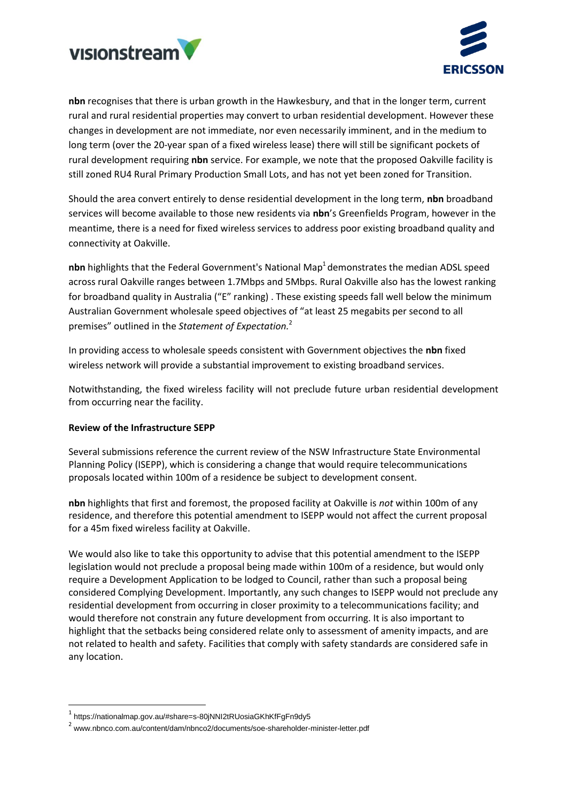



**nbn** recognises that there is urban growth in the Hawkesbury, and that in the longer term, current rural and rural residential properties may convert to urban residential development. However these changes in development are not immediate, nor even necessarily imminent, and in the medium to long term (over the 20-year span of a fixed wireless lease) there will still be significant pockets of rural development requiring **nbn** service. For example, we note that the proposed Oakville facility is still zoned RU4 Rural Primary Production Small Lots, and has not yet been zoned for Transition.

Should the area convert entirely to dense residential development in the long term, **nbn** broadband services will become available to those new residents via **nbn**'s Greenfields Program, however in the meantime, there is a need for fixed wireless services to address poor existing broadband quality and connectivity at Oakville.

nbn highlights that the Federal Government's National Map<sup>1</sup> demonstrates the median ADSL speed across rural Oakville ranges between 1.7Mbps and 5Mbps. Rural Oakville also has the lowest ranking for broadband quality in Australia ("E" ranking) . These existing speeds fall well below the minimum Australian Government wholesale speed objectives of "at least 25 megabits per second to all premises" outlined in the *Statement of Expectation.*<sup>2</sup>

In providing access to wholesale speeds consistent with Government objectives the **nbn** fixed wireless network will provide a substantial improvement to existing broadband services.

Notwithstanding, the fixed wireless facility will not preclude future urban residential development from occurring near the facility.

# **Review of the Infrastructure SEPP**

Several submissions reference the current review of the NSW Infrastructure State Environmental Planning Policy (ISEPP), which is considering a change that would require telecommunications proposals located within 100m of a residence be subject to development consent.

**nbn** highlights that first and foremost, the proposed facility at Oakville is *not* within 100m of any residence, and therefore this potential amendment to ISEPP would not affect the current proposal for a 45m fixed wireless facility at Oakville.

We would also like to take this opportunity to advise that this potential amendment to the ISEPP legislation would not preclude a proposal being made within 100m of a residence, but would only require a Development Application to be lodged to Council, rather than such a proposal being considered Complying Development. Importantly, any such changes to ISEPP would not preclude any residential development from occurring in closer proximity to a telecommunications facility; and would therefore not constrain any future development from occurring. It is also important to highlight that the setbacks being considered relate only to assessment of amenity impacts, and are not related to health and safety. Facilities that comply with safety standards are considered safe in any location.

1

<sup>1</sup> https://nationalmap.gov.au/#share=s-80jNNI2tRUosiaGKhKfFgFn9dy5

<sup>&</sup>lt;sup>2</sup> www.nbnco.com.au/content/dam/nbnco2/documents/soe-shareholder-minister-letter.pdf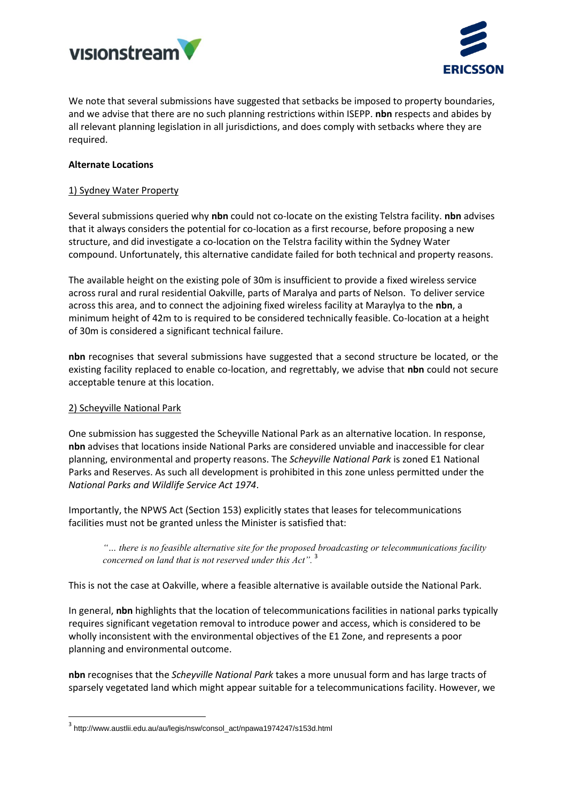



We note that several submissions have suggested that setbacks be imposed to property boundaries, and we advise that there are no such planning restrictions within ISEPP. **nbn** respects and abides by all relevant planning legislation in all jurisdictions, and does comply with setbacks where they are required.

# **Alternate Locations**

# 1) Sydney Water Property

Several submissions queried why **nbn** could not co-locate on the existing Telstra facility. **nbn** advises that it always considers the potential for co-location as a first recourse, before proposing a new structure, and did investigate a co-location on the Telstra facility within the Sydney Water compound. Unfortunately, this alternative candidate failed for both technical and property reasons.

The available height on the existing pole of 30m is insufficient to provide a fixed wireless service across rural and rural residential Oakville, parts of Maralya and parts of Nelson. To deliver service across this area, and to connect the adjoining fixed wireless facility at Maraylya to the **nbn**, a minimum height of 42m to is required to be considered technically feasible. Co-location at a height of 30m is considered a significant technical failure.

**nbn** recognises that several submissions have suggested that a second structure be located, or the existing facility replaced to enable co-location, and regrettably, we advise that **nbn** could not secure acceptable tenure at this location.

# 2) Scheyville National Park

**.** 

One submission has suggested the Scheyville National Park as an alternative location. In response, **nbn** advises that locations inside National Parks are considered unviable and inaccessible for clear planning, environmental and property reasons. The *Scheyville National Park* is zoned E1 National Parks and Reserves. As such all development is prohibited in this zone unless permitted under the *National Parks and Wildlife Service Act 1974*.

Importantly, the NPWS Act (Section 153) explicitly states that leases for telecommunications facilities must not be granted unless the Minister is satisfied that:

*"… there is no feasible alternative site for the proposed broadcasting or telecommunications facility concerned on land that is not reserved under this Act".* <sup>3</sup>

This is not the case at Oakville, where a feasible alternative is available outside the National Park.

In general, **nbn** highlights that the location of telecommunications facilities in national parks typically requires significant vegetation removal to introduce power and access, which is considered to be wholly inconsistent with the environmental objectives of the E1 Zone, and represents a poor planning and environmental outcome.

**nbn** recognises that the *Scheyville National Park* takes a more unusual form and has large tracts of sparsely vegetated land which might appear suitable for a telecommunications facility. However, we

<sup>3</sup> http://www.austlii.edu.au/au/legis/nsw/consol\_act/npawa1974247/s153d.html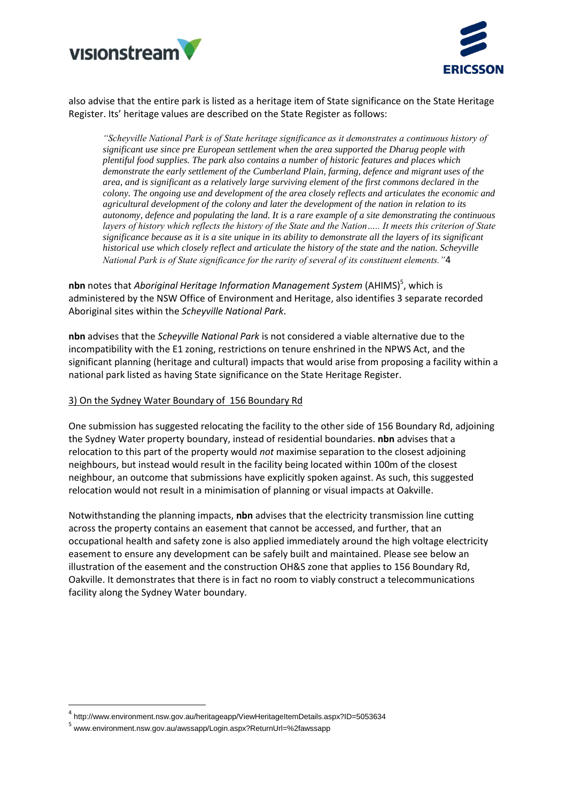



also advise that the entire park is listed as a heritage item of State significance on the State Heritage Register. Its' heritage values are described on the State Register as follows:

*"Scheyville National Park is of State heritage significance as it demonstrates a continuous history of significant use since pre European settlement when the area supported the Dharug people with plentiful food supplies. The park also contains a number of historic features and places which demonstrate the early settlement of the Cumberland Plain, farming, defence and migrant uses of the area, and is significant as a relatively large surviving element of the first commons declared in the colony. The ongoing use and development of the area closely reflects and articulates the economic and agricultural development of the colony and later the development of the nation in relation to its autonomy, defence and populating the land. It is a rare example of a site demonstrating the continuous layers of history which reflects the history of the State and the Nation….. It meets this criterion of State significance because as it is a site unique in its ability to demonstrate all the layers of its significant historical use which closely reflect and articulate the history of the state and the nation. Scheyville National Park is of State significance for the rarity of several of its constituent elements."*4

nbn notes that *Aboriginal Heritage Information Management System* (AHIMS)<sup>5</sup>, which is administered by the NSW Office of Environment and Heritage, also identifies 3 separate recorded Aboriginal sites within the *Scheyville National Park*.

**nbn** advises that the *Scheyville National Park* is not considered a viable alternative due to the incompatibility with the E1 zoning, restrictions on tenure enshrined in the NPWS Act, and the significant planning (heritage and cultural) impacts that would arise from proposing a facility within a national park listed as having State significance on the State Heritage Register.

### 3) On the Sydney Water Boundary of 156 Boundary Rd

One submission has suggested relocating the facility to the other side of 156 Boundary Rd, adjoining the Sydney Water property boundary, instead of residential boundaries. **nbn** advises that a relocation to this part of the property would *not* maximise separation to the closest adjoining neighbours, but instead would result in the facility being located within 100m of the closest neighbour, an outcome that submissions have explicitly spoken against. As such, this suggested relocation would not result in a minimisation of planning or visual impacts at Oakville.

Notwithstanding the planning impacts, **nbn** advises that the electricity transmission line cutting across the property contains an easement that cannot be accessed, and further, that an occupational health and safety zone is also applied immediately around the high voltage electricity easement to ensure any development can be safely built and maintained. Please see below an illustration of the easement and the construction OH&S zone that applies to 156 Boundary Rd, Oakville. It demonstrates that there is in fact no room to viably construct a telecommunications facility along the Sydney Water boundary.

1

<sup>4</sup> http://www.environment.nsw.gov.au/heritageapp/ViewHeritageItemDetails.aspx?ID=5053634

<sup>5</sup> [www.environment.nsw.gov.au/awssapp/Login.aspx?ReturnUrl=%2fawssapp](http://www.environment.nsw.gov.au/awssapp/Login.aspx?ReturnUrl=%2fawssapp)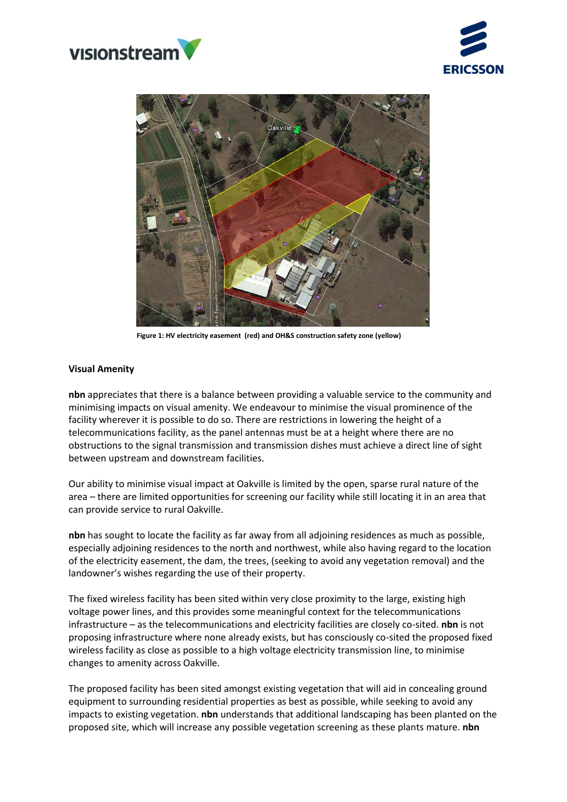





**Figure 1: HV electricity easement (red) and OH&S construction safety zone (yellow)**

#### **Visual Amenity**

**nbn** appreciates that there is a balance between providing a valuable service to the community and minimising impacts on visual amenity. We endeavour to minimise the visual prominence of the facility wherever it is possible to do so. There are restrictions in lowering the height of a telecommunications facility, as the panel antennas must be at a height where there are no obstructions to the signal transmission and transmission dishes must achieve a direct line of sight between upstream and downstream facilities.

Our ability to minimise visual impact at Oakville is limited by the open, sparse rural nature of the area – there are limited opportunities for screening our facility while still locating it in an area that can provide service to rural Oakville.

**nbn** has sought to locate the facility as far away from all adjoining residences as much as possible, especially adjoining residences to the north and northwest, while also having regard to the location of the electricity easement, the dam, the trees, (seeking to avoid any vegetation removal) and the landowner's wishes regarding the use of their property.

The fixed wireless facility has been sited within very close proximity to the large, existing high voltage power lines, and this provides some meaningful context for the telecommunications infrastructure – as the telecommunications and electricity facilities are closely co-sited. **nbn** is not proposing infrastructure where none already exists, but has consciously co-sited the proposed fixed wireless facility as close as possible to a high voltage electricity transmission line, to minimise changes to amenity across Oakville.

The proposed facility has been sited amongst existing vegetation that will aid in concealing ground equipment to surrounding residential properties as best as possible, while seeking to avoid any impacts to existing vegetation. **nbn** understands that additional landscaping has been planted on the proposed site, which will increase any possible vegetation screening as these plants mature. **nbn**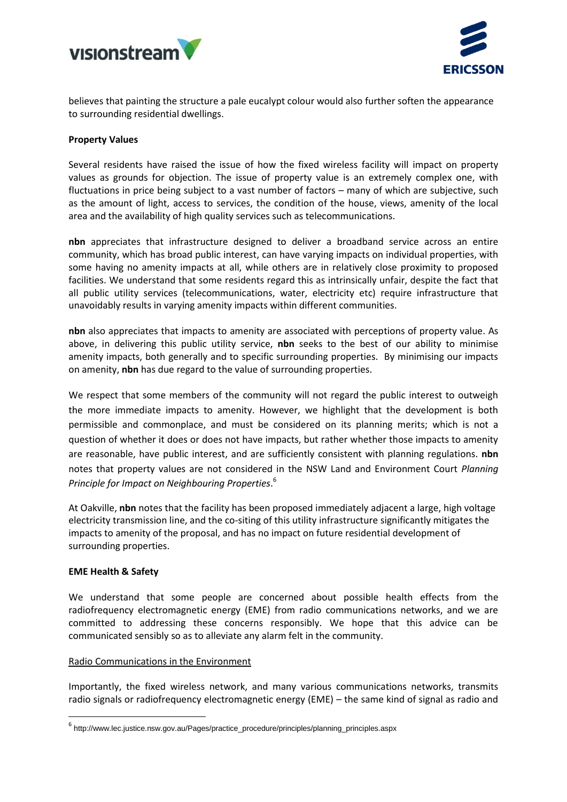



believes that painting the structure a pale eucalypt colour would also further soften the appearance to surrounding residential dwellings.

### **Property Values**

Several residents have raised the issue of how the fixed wireless facility will impact on property values as grounds for objection. The issue of property value is an extremely complex one, with fluctuations in price being subject to a vast number of factors – many of which are subjective, such as the amount of light, access to services, the condition of the house, views, amenity of the local area and the availability of high quality services such as telecommunications.

**nbn** appreciates that infrastructure designed to deliver a broadband service across an entire community, which has broad public interest, can have varying impacts on individual properties, with some having no amenity impacts at all, while others are in relatively close proximity to proposed facilities. We understand that some residents regard this as intrinsically unfair, despite the fact that all public utility services (telecommunications, water, electricity etc) require infrastructure that unavoidably results in varying amenity impacts within different communities.

**nbn** also appreciates that impacts to amenity are associated with perceptions of property value. As above, in delivering this public utility service, **nbn** seeks to the best of our ability to minimise amenity impacts, both generally and to specific surrounding properties. By minimising our impacts on amenity, **nbn** has due regard to the value of surrounding properties.

We respect that some members of the community will not regard the public interest to outweigh the more immediate impacts to amenity. However, we highlight that the development is both permissible and commonplace, and must be considered on its planning merits; which is not a question of whether it does or does not have impacts, but rather whether those impacts to amenity are reasonable, have public interest, and are sufficiently consistent with planning regulations. **nbn** notes that property values are not considered in the NSW Land and Environment Court *Planning Principle for Impact on Neighbouring Properties*. 6

At Oakville, **nbn** notes that the facility has been proposed immediately adjacent a large, high voltage electricity transmission line, and the co-siting of this utility infrastructure significantly mitigates the impacts to amenity of the proposal, and has no impact on future residential development of surrounding properties.

# **EME Health & Safety**

**.** 

We understand that some people are concerned about possible health effects from the radiofrequency electromagnetic energy (EME) from radio communications networks, and we are committed to addressing these concerns responsibly. We hope that this advice can be communicated sensibly so as to alleviate any alarm felt in the community.

#### Radio Communications in the Environment

Importantly, the fixed wireless network, and many various communications networks, transmits radio signals or radiofrequency electromagnetic energy (EME) – the same kind of signal as radio and

<sup>6</sup> http://www.lec.justice.nsw.gov.au/Pages/practice\_procedure/principles/planning\_principles.aspx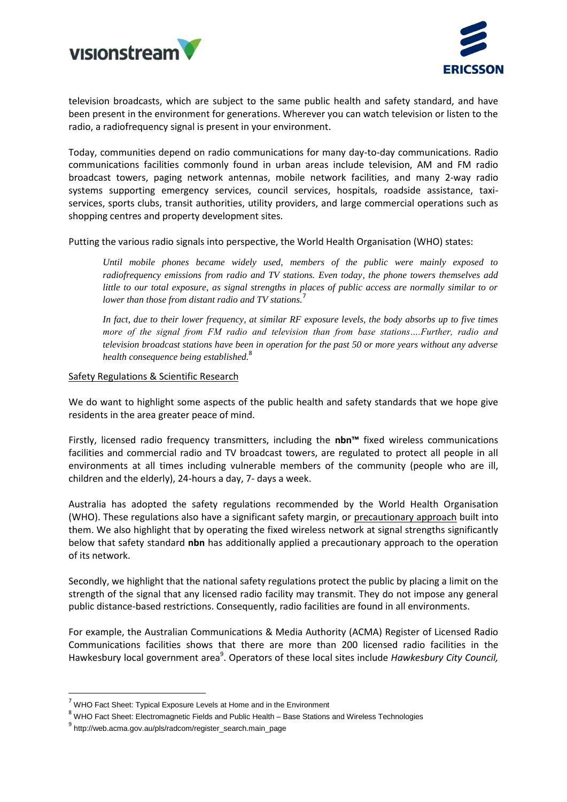



television broadcasts, which are subject to the same public health and safety standard, and have been present in the environment for generations. Wherever you can watch television or listen to the radio, a radiofrequency signal is present in your environment.

Today, communities depend on radio communications for many day-to-day communications. Radio communications facilities commonly found in urban areas include television, AM and FM radio broadcast towers, paging network antennas, mobile network facilities, and many 2-way radio systems supporting emergency services, council services, hospitals, roadside assistance, taxiservices, sports clubs, transit authorities, utility providers, and large commercial operations such as shopping centres and property development sites.

Putting the various radio signals into perspective, the World Health Organisation (WHO) states:

*Until mobile phones became widely used, members of the public were mainly exposed to radiofrequency emissions from radio and TV stations. Even today, the phone towers themselves add little to our total exposure, as signal strengths in places of public access are normally similar to or lower than those from distant radio and TV stations.*<sup>7</sup>

*In fact, due to their lower frequency, at similar RF exposure levels, the body absorbs up to five times more of the signal from FM radio and television than from base stations….Further, radio and television broadcast stations have been in operation for the past 50 or more years without any adverse health consequence being established.*<sup>8</sup>

### Safety Regulations & Scientific Research

We do want to highlight some aspects of the public health and safety standards that we hope give residents in the area greater peace of mind.

Firstly, licensed radio frequency transmitters, including the **nbn™** fixed wireless communications facilities and commercial radio and TV broadcast towers, are regulated to protect all people in all environments at all times including vulnerable members of the community (people who are ill, children and the elderly), 24-hours a day, 7- days a week.

Australia has adopted the safety regulations recommended by the World Health Organisation (WHO). These regulations also have a significant safety margin, or precautionary approach built into them. We also highlight that by operating the fixed wireless network at signal strengths significantly below that safety standard **nbn** has additionally applied a precautionary approach to the operation of its network.

Secondly, we highlight that the national safety regulations protect the public by placing a limit on the strength of the signal that any licensed radio facility may transmit. They do not impose any general public distance-based restrictions. Consequently, radio facilities are found in all environments.

For example, the Australian Communications & Media Authority (ACMA) Register of Licensed Radio Communications facilities shows that there are more than 200 licensed radio facilities in the Hawkesbury local government area<sup>9</sup>. Operators of these local sites include *Hawkesbury City Council,* 

**.** 

 $7$  WHO Fact Sheet: Typical Exposure Levels at Home and in the Environment

<sup>8</sup> WHO Fact Sheet: Electromagnetic Fields and Public Health – Base Stations and Wireless Technologies

<sup>&</sup>lt;sup>9</sup>http://web.acma.gov.au/pls/radcom/register\_search.main\_page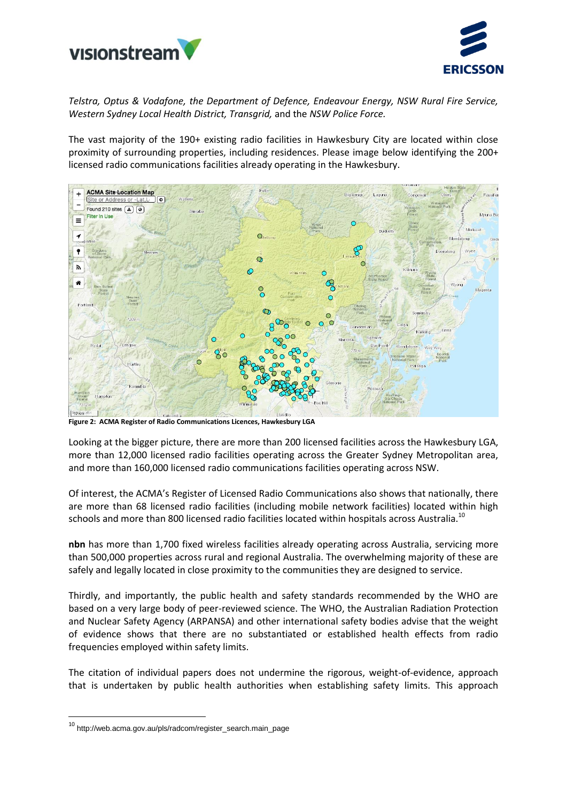



*Telstra, Optus & Vodafone, the Department of Defence, Endeavour Energy, NSW Rural Fire Service, Western Sydney Local Health District, Transgrid,* and the *NSW Police Force.*

The vast majority of the 190+ existing radio facilities in Hawkesbury City are located within close proximity of surrounding properties, including residences. Please image below identifying the 200+ licensed radio communications facilities already operating in the Hawkesbury.



**Figure 2: ACMA Register of Radio Communications Licences, Hawkesbury LGA**

Looking at the bigger picture, there are more than 200 licensed facilities across the Hawkesbury LGA, more than 12,000 licensed radio facilities operating across the Greater Sydney Metropolitan area, and more than 160,000 licensed radio communications facilities operating across NSW.

Of interest, the ACMA's Register of Licensed Radio Communications also shows that nationally, there are more than 68 licensed radio facilities (including mobile network facilities) located within high schools and more than 800 licensed radio facilities located within hospitals across Australia.<sup>10</sup>

**nbn** has more than 1,700 fixed wireless facilities already operating across Australia, servicing more than 500,000 properties across rural and regional Australia. The overwhelming majority of these are safely and legally located in close proximity to the communities they are designed to service.

Thirdly, and importantly, the public health and safety standards recommended by the WHO are based on a very large body of peer-reviewed science. The WHO, the Australian Radiation Protection and Nuclear Safety Agency (ARPANSA) and other international safety bodies advise that the weight of evidence shows that there are no substantiated or established health effects from radio frequencies employed within safety limits.

The citation of individual papers does not undermine the rigorous, weight-of-evidence, approach that is undertaken by public health authorities when establishing safety limits. This approach

**.** 

<sup>10</sup> http://web.acma.gov.au/pls/radcom/register\_search.main\_page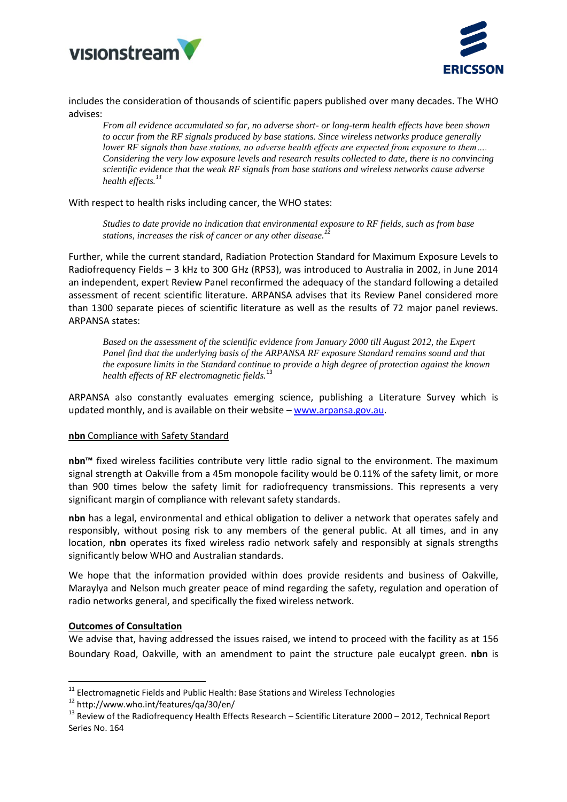



includes the consideration of thousands of scientific papers published over many decades. The WHO advises:

*From all evidence accumulated so far, no adverse short- or long-term health effects have been shown to occur from the RF signals produced by base stations. Since wireless networks produce generally lower RF signals than base stations, no adverse health effects are expected from exposure to them…. Considering the very low exposure levels and research results collected to date, there is no convincing scientific evidence that the weak RF signals from base stations and wireless networks cause adverse health effects. 11*

### With respect to health risks including cancer, the WHO states:

*Studies to date provide no indication that environmental exposure to RF fields, such as from base stations, increases the risk of cancer or any other disease. 12*

Further, while the current standard, Radiation Protection Standard for Maximum Exposure Levels to Radiofrequency Fields – 3 kHz to 300 GHz (RPS3), was introduced to Australia in 2002, in June 2014 an independent, expert Review Panel reconfirmed the adequacy of the standard following a detailed assessment of recent scientific literature. ARPANSA advises that its Review Panel considered more than 1300 separate pieces of scientific literature as well as the results of 72 major panel reviews. ARPANSA states:

*Based on the assessment of the scientific evidence from January 2000 till August 2012, the Expert Panel find that the underlying basis of the ARPANSA RF exposure Standard remains sound and that the exposure limits in the Standard continue to provide a high degree of protection against the known health effects of RF electromagnetic fields.*<sup>13</sup>

ARPANSA also constantly evaluates emerging science, publishing a Literature Survey which is updated monthly, and is available on their website – [www.arpansa.gov.au.](http://www.arpansa.gov.au/)

#### **nbn** Compliance with Safety Standard

**nbn™** fixed wireless facilities contribute very little radio signal to the environment. The maximum signal strength at Oakville from a 45m monopole facility would be 0.11% of the safety limit, or more than 900 times below the safety limit for radiofrequency transmissions. This represents a very significant margin of compliance with relevant safety standards.

**nbn** has a legal, environmental and ethical obligation to deliver a network that operates safely and responsibly, without posing risk to any members of the general public. At all times, and in any location, **nbn** operates its fixed wireless radio network safely and responsibly at signals strengths significantly below WHO and Australian standards.

We hope that the information provided within does provide residents and business of Oakville, Maraylya and Nelson much greater peace of mind regarding the safety, regulation and operation of radio networks general, and specifically the fixed wireless network.

### **Outcomes of Consultation**

**.** 

We advise that, having addressed the issues raised, we intend to proceed with the facility as at 156 Boundary Road, Oakville, with an amendment to paint the structure pale eucalypt green. **nbn** is

 $11$  Electromagnetic Fields and Public Health: Base Stations and Wireless Technologies

<sup>12</sup> http://www.who.int/features/qa/30/en/

<sup>&</sup>lt;sup>13</sup> Review of the Radiofrequency Health Effects Research – Scientific Literature 2000 – 2012, Technical Report Series No. 164